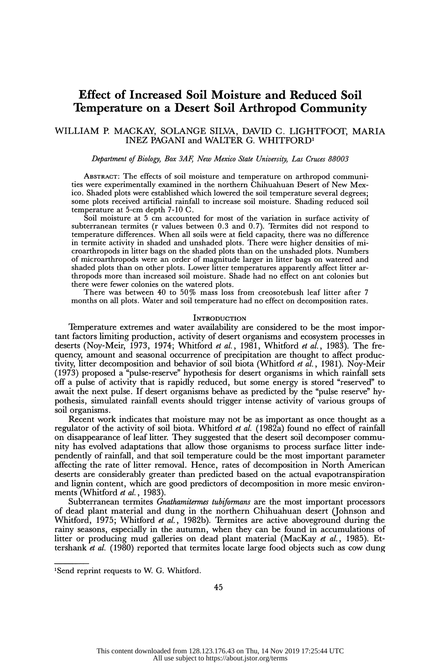# Effect of Increased Soil Moisture and Reduced Soil Temperature on a Desert Soil Arthropod Community

# WILLIAM P. MACKAY, SOLANGE SILVA, DAVID C. LIGHTFOOT, MARIA INEZ PAGANI and WALTER G. WHITFORD'

# Department of Biology, Box 3AF, New Mexico State University, Las Cruces 88003

 ABSTRACT: The effects of soil moisture and temperature on arthropod communi ties were experimentally examined in the northern Chihuahuan Desert of New Mex ico. Shaded plots were established which lowered the soil temperature several degrees; some plots received artificial rainfall to increase soil moisture. Shading reduced soil temperature at 5-cm depth 7-10 C.

 Soil moisture at 5 cm accounted for most of the variation in surface activity of subterranean termites (r values between 0.3 and 0.7). Termites did not respond to temperature differences. When all soils were at field capacity, there was no difference in termite activity in shaded and unshaded plots. There were higher densities of mi croarthropods in litter bags on the shaded plots than on the unshaded plots. Numbers of microarthropods were an order of magnitude larger in litter bags on watered and shaded plots than on other plots. Lower litter temperatures apparently affect litter ar thropods more than increased soil moisture. Shade had no effect on ant colonies but there were fewer colonies on the watered plots.

 There was between 40 to 50% mass loss from creosotebush leaf litter after 7 months on all plots. Water and soil temperature had no effect on decomposition rates.

### **INTRODUCTION**

 Temperature extremes and water availability are considered to be the most impor tant factors limiting production, activity of desert organisms and ecosystem processes in deserts (Noy-Meir, 1973, 1974; Whitford et al., 1981, Whitford et al., 1983). The fre quency, amount and seasonal occurrence of precipitation are thought to affect produc tivity, litter decomposition and behavior of soil biota (Whitford et  $\vec{a}l$ , 1981). Noy-Meir (1973) proposed a "pulse-reserve" hypothesis for desert organisms in which rainfall sets off a pulse of activity that is rapidly reduced, but some energy is stored "reserved" to await the next pulse. If desert organisms behave as predicted by the "pulse reserve" hy pothesis, simulated rainfall events should trigger intense activity of various groups of soil organisms.

 Recent work indicates that moisture may not be as important as once thought as a regulator of the activity of soil biota. Whitford *et al.* (1982a) found no effect of rainfall on disappearance of leaf litter. They suggested that the desert soil decomposer commu nity has evolved adaptations that allow those organisms to process surface litter inde pendently of rainfall, and that soil temperature could be the most important parameter affecting the rate of litter removal. Hence, rates of decomposition in North American deserts are considerably greater than predicted based on the actual evapotranspiration and lignin content, which are good predictors of decomposition in more mesic environ ments (Whitford et al., 1983).

Subterranean termites *Gnathamitermes tubiformans* are the most important processors of dead plant material and dung in the northern Chihuahuan desert (Johnson and Whitford, 1975; Whitford et al., 1982b). Termites are active aboveground during the rainy seasons, especially in the autumn, when they can be found in accumulations of litter or producing mud galleries on dead plant material (MacKay et al., 1985). Et tershank *et al.* (1980) reported that termites locate large food objects such as cow dung

 <sup>&#</sup>x27;Send reprint requests to W. G. Whitford.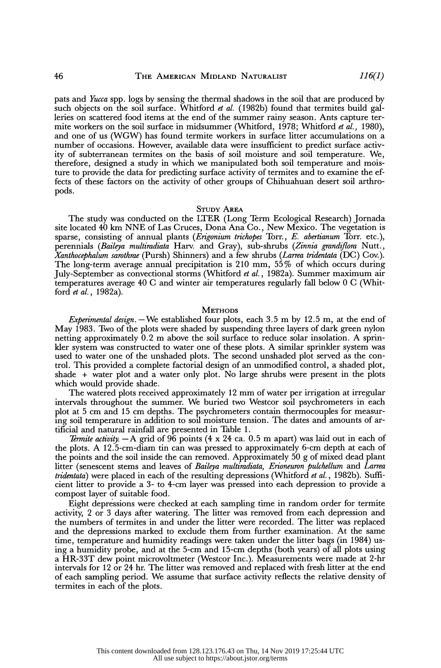pats and Yucca spp. logs by sensing the thermal shadows in the soil that are produced by such objects on the soil surface. Whitford *et al.* (1982b) found that termites build gal leries on scattered food items at the end of the summer rainy season. Ants capture ter mite workers on the soil surface in midsummer (Whitford, 1978; Whitford et al., 1980), and one of us (WGW) has found termite workers in surface litter accumulations on a number of occasions. However, available data were insufficient to predict surface activ ity of subterranean termites on the basis of soil moisture and soil temperature. We, therefore, designed a study in which we manipulated both soil temperature and mois ture to provide the data for predicting surface activity of termites and to examine the ef fects of these factors on the activity of other groups of Chihuahuan desert soil arthro pods.

#### STUDY AREA

 The study was conducted on the LTER (Long Term Ecological Research) Jornada site located 40 km NNE of Las Cruces, Dona Ana Co., New Mexico. The vegetation is sparse, consisting of annual plants (*Erigonium trichopes* Torr., *E. abertianum* Torr. etc.), perennials (Baileya multiradiata Harv. and Gray), sub-shrubs (Zinnia grandiflora Nutt., Xanthocephalum sarothrae (Pursh) Shinners) and a few shrubs (Larrea tridentata (DC) Cov.). The long-term average annual precipitation is 210 mm, 55% of which occurs during July-September as convectional storms (Whitford et al., 1982a). Summer maximum air temperatures average 40 C and winter air temperatures regularly fall below 0 C (Whit ford et al., 1982a).

## **METHODS**

Experimental design. - We established four plots, each  $3.5$  m by  $12.5$  m, at the end of May 1983. Two of the plots were shaded by suspending three layers of dark green nylon netting approximately 0.2 m above the soil surface to reduce solar insolation. A sprin kler system was constructed to water one of these plots. A similar sprinkler system was used to water one of the unshaded plots. The second unshaded plot served as the con trol. This provided a complete factorial design of an unmodified control, a shaded plot, shade + water plot and a water only plot. No large shrubs were present in the plots which would provide shade.

 The watered plots received approximately 12 mm of water per irrigation at irregular intervals throughout the summer. We buried two Westcor soil psychrometers in each plot at 5 cm and 15 cm depths. The psychrometers contain thermocouples for measur ing soil temperature in addition to soil moisture tension. The dates and amounts of ar tificial and natural rainfall are presented in Table 1.

*Termite activity.*  $-A$  grid of 96 points (4 x 24 ca. 0.5 m apart) was laid out in each of the plots. A 12.5-cm-diam tin can was pressed to approximately 6-cm depth at each of the points and the soil inside the can removed. Approximately 50 g of mixed dead plant litter (senescent stems and leaves of Baileya multiradiata, Erioneuron pulchellum and Larrea tridentata) were placed in each of the resulting depressions (Whitford et al., 1982b). Suffi cient litter to provide a 3- to 4-cm layer was pressed into each depression to provide a compost layer of suitable food.

 Eight depressions were checked at each sampling time in random order for termite activity, 2 or 3 days after watering. The litter was removed from each depression and the numbers of termites in and under the litter were recorded. The litter was replaced and the depressions marked to exclude them from further examination. At the same time, temperature and humidity readings were taken under the litter bags (in 1984) us ing a humidity probe, and at the 5-cm and 15-cm depths (both years) of all plots using a HR-33T dew point microvoltmeter (Westcor Inc.). Measurements were made at 2-hr intervals for 12 or 24 hr. The litter was removed and replaced with fresh litter at the end of each sampling period. We assume that surface activity reflects the relative density of termites in each of the plots.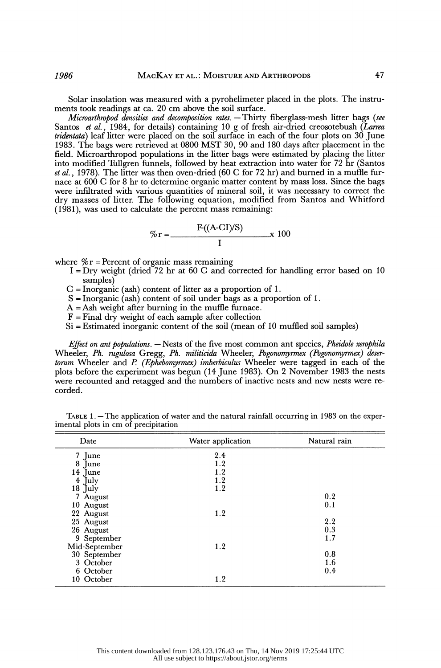Solar insolation was measured with a pyrohelimeter placed in the plots. The instru ments took readings at ca. 20 cm above the soil surface.

Microarthropod densities and decomposition rates.  $-$ Thirty fiberglass-mesh litter bags (see Santos et al., 1984, for details) containing 10 g of fresh air-dried creosotebush (Larrea *tridentata*) leaf litter were placed on the soil surface in each of the four plots on  $30$  June 1983. The bags were retrieved at 0800 MST 30, 90 and 180 days after placement in the field. Microarthropod populations in the litter bags were estimated by placing the litter into modified Tullgren funnels, followed by heat extraction into water for 72 hr (Santos *et al.*, 1978). The litter was then oven-dried (60 C for 72 hr) and burned in a muffle fur nace at 600 C for 8 hr to determine organic matter content by mass loss. Since the bags were infiltrated with various quantities of mineral soil, it was necessary to correct the dry masses of litter. The following equation, modified from Santos and Whitford (1981), was used to calculate the percent mass remaining:

$$
\% \mathbf{r} = \frac{\mathbf{F}((\mathbf{A}\text{-CI})/\mathbf{S})}{\mathbf{I}} \times 100
$$

where  $\%$  r = Percent of organic mass remaining

- $I = Dry$  weight (dried 72 hr at 60 C and corrected for handling error based on 10 samples)
- C = Inorganic (ash) content of litter as a proportion of 1.
- $S = Inorganic (ash) content of soil under bags as a proportion of 1.$
- $A = Ash$  weight after burning in the muffle furnace.
- $F =$  Final dry weight of each sample after collection
- Si = Estimated inorganic content of the soil (mean of 10 muffled soil samples)

*Effect on ant populations.*  $-$  Nests of the five most common ant species, *Pheidole xerophila* Wheeler, Ph. rugulosa Gregg, Ph. militicida Wheeler, Pogonomyrmex (Pogonomyrmex) desertorum Wheeler and P. (Ephebomyrmex) imberbiculus Wheeler were tagged in each of the plots before the experiment was begun (14 June 1983). On 2 November 1983 the nests were recounted and retagged and the numbers of inactive nests and new nests were re corded.

| Date          | Water application | Natural rain |  |
|---------------|-------------------|--------------|--|
| 7 June        | 2.4               |              |  |
| 8 June        | 1.2               |              |  |
| 14 June       | 1.2               |              |  |
| 4 July        | 1.2               |              |  |
| $18$ July     | 1.2               |              |  |
| 7 August      |                   | 0.2          |  |
| 10 August     |                   | 0.1          |  |
| 22 August     | 1.2               |              |  |
| 25 August     |                   | 2.2          |  |
| 26 August     |                   | 0.3          |  |
| 9 September   |                   | 1.7          |  |
| Mid-September | 1.2               |              |  |
| 30 September  |                   | 0.8          |  |
| 3 October     |                   | 1.6          |  |
| 6 October     |                   | 0.4          |  |
| 10 October    | 1.2               |              |  |

TABLE  $1.$  -The application of water and the natural rainfall occurring in 1983 on the experimental plots in cm of precipitation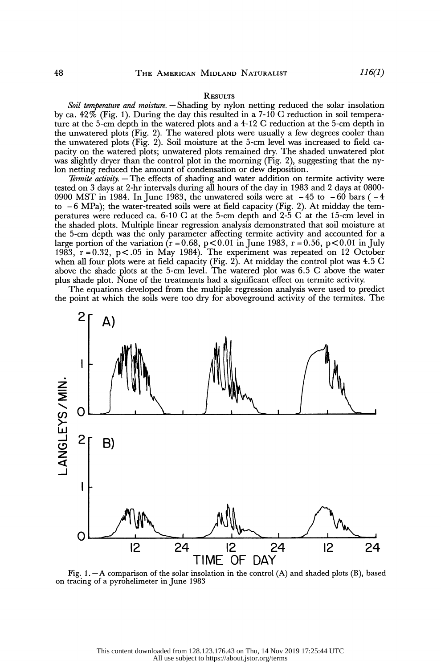#### **RESULTS**

Soil temperature and moisture. - Shading by nylon netting reduced the solar insolation by ca.  $42\%$  (Fig. 1). During the day this resulted in a 7-10 C reduction in soil tempera ture at the 5-cm depth in the watered plots and a 4-12 C reduction at the 5-cm depth in the unwatered plots (Fig. 2). The watered plots were usually a few degrees cooler than the unwatered plots (Fig. 2). Soil moisture at the 5-cm level was increased to field ca pacity on the watered plots; unwatered plots remained dry. The shaded unwatered plot was slightly dryer than the control plot in the morning (Fig. 2), suggesting that the ny lon netting reduced the amount of condensation or dew deposition.

Termite activity.  $-$  The effects of shading and water addition on termite activity were tested on 3 days at 2-hr intervals during all hours of the day in 1983 and 2 days at 0800- 0900 MST in 1984. In June 1983, the unwatered soils were at  $-45$  to  $-60$  bars ( $-4$ to  $-6$  MPa); the water-treated soils were at field capacity (Fig. 2). At midday the tem peratures were reduced ca. 6-10 C at the 5-cm depth and 2-5 C at the 15-cm level in the shaded plots. Multiple linear regression analysis demonstrated that soil moisture at the 5-cm depth was the only parameter affecting termite activity and accounted for a large portion of the variation  $(r = 0.68, p < 0.01$  in June 1983,  $r = 0.56, p < 0.01$  in July 1983,  $r = 0.32$ ,  $p < .05$  in May 1984). The experiment was repeated on 12 October when all four plots were at field capacity (Fig. 2). At midday the control plot was 4.5 C above the shade plots at the 5-cm level. The watered plot was 6.5 C above the water plus shade plot. None of the treatments had a significant effect on termite activity.

 The equations developed from the multiple regression analysis were used to predict the point at which the soils were too dry for aboveground activity of the termites. The



 Fig. 1. -A comparison of the solar insolation in the control (A) and shaded plots (B), based on tracing of a pyrohelimeter in June 1983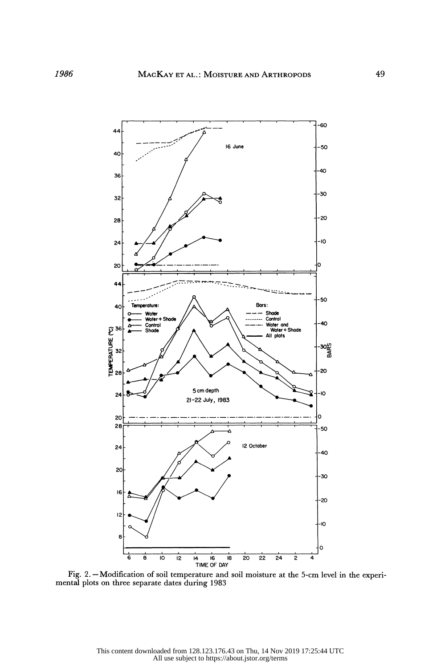

Fig. 2. - Modification of soil temperature and soil moisture at the 5-cm level in the experimental plots on three separate dates during 1983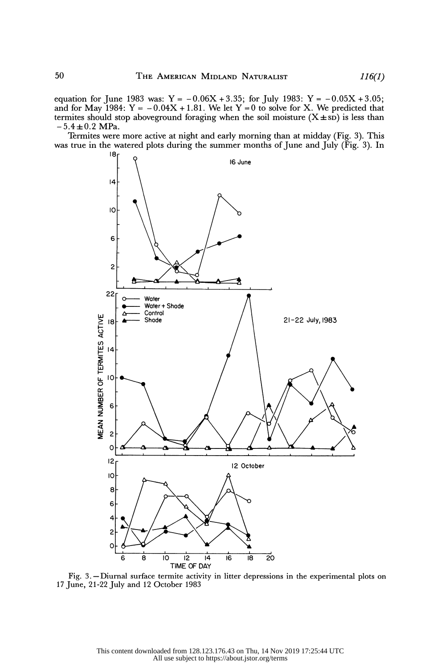equation for June 1983 was:  $Y = -0.06X + 3.35$ ; for July 1983:  $Y = -0.05X + 3.05$ ; and for May 1984:  $Y = -0.04X + 1.81$ . We let  $Y = 0$  to solve for X. We predicted that termites should stop aboveground foraging when the soil moisture  $(X \pm sD)$  is less than  $-5.4 \pm 0.2$  MPa.

 Termites were more active at night and early morning than at midday (Fig. 3). This was true in the watered plots during the summer months of June and July (Fig. 3). In



Fig. 3. - Diurnal surface termite activity in litter depressions in the experimental plots on 17 June, 21-22 July and 12 October 1983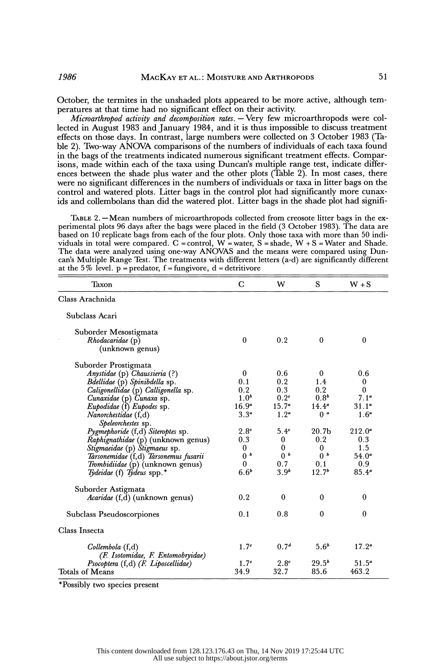October, the termites in the unshaded plots appeared to be more active, although tem peratures at that time had no significant effect on their activity.

Microarthropod activity and decomposition rates.  $-$  Very few microarthropods were col lected in August 1983 and January 1984, and it is thus impossible to discuss treatment effects on those days. In contrast, large numbers were collected on 3 October 1983 (Ta ble 2). Two-way ANOVA comparisons of the numbers of individuals of each taxa found in the bags of the treatments indicated numerous significant treatment effects. Compar isons, made within each of the taxa using Duncan's multiple range test, indicate differ ences between the shade plus water and the other plots (Table 2). In most cases, there were no significant differences in the numbers of individuals or taxa in litter bags on the control and watered plots. Litter bags in the control plot had significantly more cunax ids and collembolans than did the watered plot. Litter bags in the shade plot had signifi-

TABLE 2. - Mean numbers of microarthropods collected from creosote litter bags in the ex perimental plots 96 days after the bags were placed in the field (3 October 1983). The data are based on 10 replicate bags from each of the four plots. Only those taxa with more than 50 indi viduals in total were compared. C = control, W = water, S = shade, W + S = Water and Shade. The data were analyzed using one-way ANOVAS and the means were compared using Dun can's Multiple Range Test. The treatments with different letters (a-d) are significantly different

| at the 5% level. $p =$ predator, f = fungivore, d = detritivore |                  |                  |                   |                   |  |  |
|-----------------------------------------------------------------|------------------|------------------|-------------------|-------------------|--|--|
| Taxon                                                           | $\mathbf C$      | W                | S                 | $W + S$           |  |  |
| Class Arachnida                                                 |                  |                  |                   |                   |  |  |
| Subclass Acari                                                  |                  |                  |                   |                   |  |  |
| Suborder Mesostigmata                                           |                  |                  |                   |                   |  |  |
| Rhodacaridae (p)                                                | $\mathbf{0}$     | 0.2              | $\mathbf{0}$      | $\bf{0}$          |  |  |
| (unknown genus)                                                 |                  |                  |                   |                   |  |  |
| Suborder Prostigmata                                            |                  |                  |                   |                   |  |  |
| Anystidae (p) Chaussieria (?)                                   | $\mathbf{0}$     | 0.6              | $\mathbf{0}$      | 0.6               |  |  |
| Bdellidae (p) Spinibdella sp.                                   | 0.1              | 0.2              | 1.4               | $\mathbf 0$       |  |  |
| Caligonellidae (p) Calligonella sp.                             | 0.2              | 0.3              | 0.2               | $\boldsymbol{0}$  |  |  |
| Cunaxidae (p) Cunaxa sp.                                        | 1.0 <sup>b</sup> | 0.2 <sup>c</sup> | 0.8 <sup>b</sup>  | 7.1 <sup>a</sup>  |  |  |
| Eupodidae (f) Eupodes sp.                                       | $16.9^a$         | $15.7^a$         | $14.4^a$          | $31.1^a$          |  |  |
| Nanorchestidae (f,d)                                            | $3.3^a$          | $1.2^a$          | 0 <sup>a</sup>    | 1.6 <sup>a</sup>  |  |  |
| Speleorchestes sp.                                              |                  |                  |                   |                   |  |  |
| Pygmephoride (f,d) Siteroptes sp.                               | 2.8 <sup>c</sup> | 5.4 <sup>c</sup> | 20.7 <sub>b</sub> | $212.0^a$         |  |  |
| Raphignathidae (p) (unknown genus)                              | 0.3              | $\bf{0}$         | 0.2               | 0.3               |  |  |
| Stigmaeidae (p) Stigmaeus sp.                                   | $\bf{0}$         | $\bf{0}$         | $\mathbf{0}$      | 1.5               |  |  |
| Tarsonemidae (f,d) Tarsonemus fusarii                           | 0 <sup>b</sup>   | 0 <sup>b</sup>   | 0 <sup>b</sup>    | $54.0^a$          |  |  |
| Trombidiidae (p) (unknown genus)                                | $\mathbf{0}$     | 0.7              | 0.1               | 0.9               |  |  |
| Tydeidae (f) Tydeus spp.*                                       | $6.6^{b}$        | 3.9 <sup>b</sup> | 12.7 <sup>b</sup> | $85.4^{\circ}$    |  |  |
| Suborder Astigmata                                              |                  |                  |                   |                   |  |  |
| Acaridae (f,d) (unknown genus)                                  | 0.2              | 0                | $\mathbf{0}$      | $\mathbf{0}$      |  |  |
| Subclass Pseudoscorpiones                                       | 0.1              | 0.8              | $\bf{0}$          | $\theta$          |  |  |
| Class Insecta                                                   |                  |                  |                   |                   |  |  |
| Collembola (f,d)                                                | 1.7 <sup>c</sup> | 0.7 <sup>d</sup> | $5.6^{b}$         | 17.2 <sup>a</sup> |  |  |
| (F. Isotomidae, F. Entomobryidae)                               |                  |                  |                   |                   |  |  |
| Psocoptera (f,d) (F. Liposcellidae)                             | 1.7 <sup>c</sup> | 2.8 <sup>c</sup> | $29.5^b$          | $51.5^a$          |  |  |
| Totals of Means                                                 | 34.9             | 32.7             | 85.6              | 463.2             |  |  |

\*Possibly two species present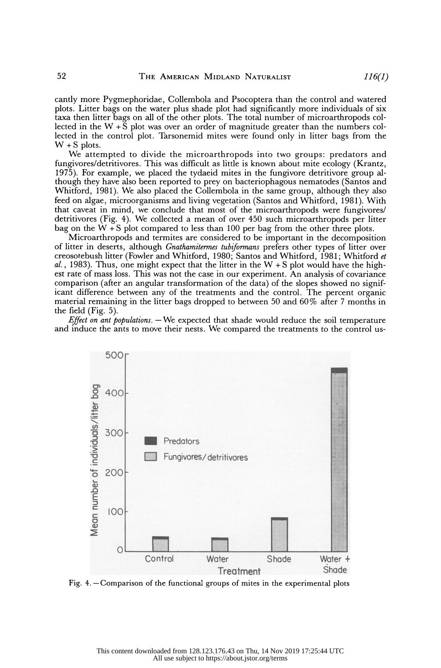cantly more Pygmephoridae, Collembola and Psocoptera than the control and watered plots. Litter bags on the water plus shade plot had significantly more individuals of six taxa then litter bags on all of the other plots. The total number of microarthropods col lected in the  $W + \overline{S}$  plot was over an order of magnitude greater than the numbers col lected in the control plot. Tarsonemid mites were found only in litter bags from the  $W + S$  plots.

 We attempted to divide the microarthropods into two groups: predators and fungivores/detritivores. This was difficult as little is known about mite ecology (Krantz, 1975). For example, we placed the tydaeid mites in the fungivore detritivore group al though they have also been reported to prey on bacteriophagous nematodes (Santos and Whitford, 1981). We also placed the Collembola in the same group, although they also feed on algae, microorganisms and living vegetation (Santos and Whitford, 1981). With that caveat in mind, we conclude that most of the microarthropods were fungivores/ detritivores (Fig. 4). We collected a mean of over 450 such microarthropods per litter bag on the  $W + S$  plot compared to less than 100 per bag from the other three plots.

 Microarthropods and termites are considered to be important in the decomposition of litter in deserts, although *Gnathamitermes tubiformans* prefers other types of litter over creosotebush litter (Fowler and Whitford, 1980; Santos and Whitford, 1981; Whitford et al., 1983). Thus, one might expect that the litter in the  $W + S$  plot would have the high est rate of mass loss. This was not the case in our experiment. An analysis of covariance comparison (after an angular transformation of the data) of the slopes showed no signif icant difference between any of the treatments and the control. The percent organic material remaining in the litter bags dropped to between 50 and 60% after 7 months in the field (Fig. 5).

Effect on ant populations.  $-$  We expected that shade would reduce the soil temperature and induce the ants to move their nests. We compared the treatments to the control us-



Fig.  $4.$  -Comparison of the functional groups of mites in the experimental plots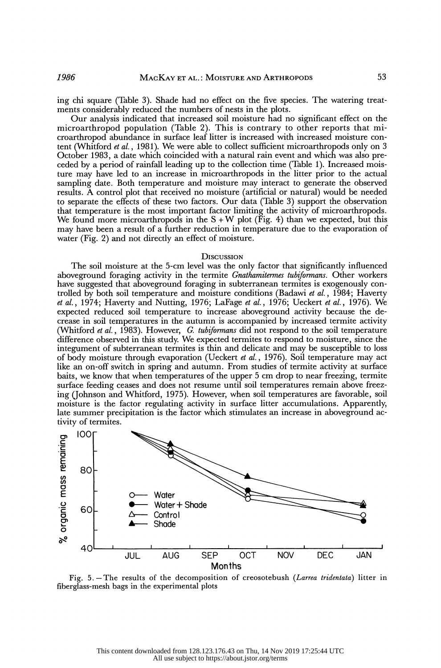ing chi square (Table 3). Shade had no effect on the five species. The watering treat ments considerably reduced the numbers of nests in the plots.

 Our analysis indicated that increased soil moisture had no significant effect on the microarthropod population (Table 2). This is contrary to other reports that mi croarthropod abundance in surface leaf litter is increased with increased moisture con tent (Whitford et al., 1981). We were able to collect sufficient microarthropods only on 3 October 1983, a date which coincided with a natural rain event and which was also pre ceded by a period of rainfall leading up to the collection time (Table 1). Increased mois ture may have led to an increase in microarthropods in the litter prior to the actual sampling date. Both temperature and moisture may interact to generate the observed results. A control plot that received no moisture (artificial or natural) would be needed to separate the effects of these two factors. Our data (Table 3) support the observation that temperature is the most important factor limiting the activity of microarthropods. We found more microarthropods in the  $S+W$  plot (Fig. 4) than we expected, but this may have been a result of a further reduction in temperature due to the evaporation of water (Fig. 2) and not directly an effect of moisture.

## **DISCUSSION**

 The soil moisture at the 5-cm level was the only factor that significantly influenced aboveground foraging activity in the termite Gnathamitermes tubiformans. Other workers have suggested that aboveground foraging in subterranean termites is exogenously con trolled by both soil temperature and moisture conditions (Badawi et al., 1984; Haverty et al., 1974; Haverty and Nutting, 1976; LaFage et al., 1976; Ueckert et al., 1976). We expected reduced soil temperature to increase aboveground activity because the de crease in soil temperatures in the autumn is accompanied by increased termite activity (Whitford *et al.*, 1983). However, G. tubiformans did not respond to the soil temperature difference observed in this study. We expected termites to respond to moisture, since the integument of subterranean termites is thin and delicate and may be susceptible to loss of body moisture through evaporation (Ueckert et al., 1976). Soil temperature may act like an on-off switch in spring and autumn. From studies of termite activity at surface baits, we know that when temperatures of the upper 5 cm drop to near freezing, termite surface feeding ceases and does not resume until soil temperatures remain above freez ing (Johnson and Whitford, 1975). However, when soil temperatures are favorable, soil moisture is the factor regulating activity in surface litter accumulations. Apparently, late summer precipitation is the factor which stimulates an increase in aboveground ac tivity of termites.



Fig. 5. - The results of the decomposition of creosotebush (Larrea tridentata) litter in fiberglass-mesh bags in the experimental plots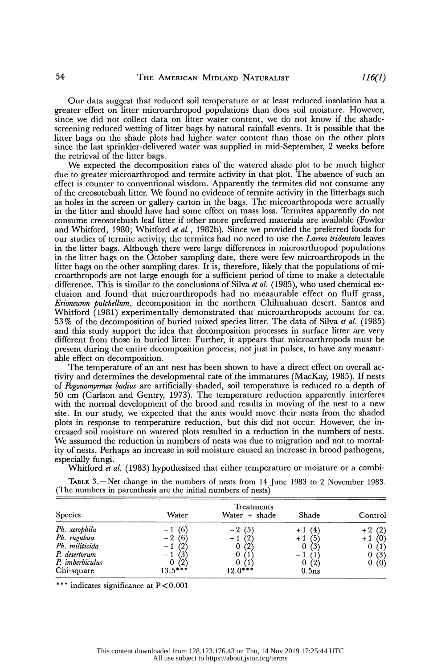Our data suggest that reduced soil temperature or at least reduced insolation has a greater effect on litter microarthropod populations than does soil moisture. However, since we did not collect data on litter water content, we do not know if the shade screening reduced wetting of litter bags by natural rainfall events. It is possible that the litter bags on the shade plots had higher water content than those on the other plots since the last sprinkler-delivered water was supplied in mid-September, 2 weeks before the retrieval of the litter bags.

 We expected the decomposition rates of the watered shade plot to be much higher due to greater microarthropod and termite activity in that plot. The absence of such an effect is counter to conventional wisdom. Apparently the termites did not consume any of the creosotebush litter. We found no evidence of termite activity in the litterbags such as holes in the screen or gallery carton in the bags. The microarthropods were actually in the litter and should have had some effect on mass loss. Termites apparently do not consume creosotebush leaf litter if other more preferred materials are available (Fowler and Whitford, 1980; Whitford et al., 1982b). Since we provided the preferred foods for our studies of termite activity, the termites had no need to use the *Larrea tridentata* leaves in the litter bags. Although there were large differences in microarthropod populations in the litter bags on the October sampling date, there were few microarthropods in the litter bags on the other sampling dates. It is, therefore, likely that the populations of mi croarthropods are not large enough for a sufficient period of time to make a detectable difference. This is similar to the conclusions of Silva et al. (1985), who used chemical ex clusion and found that microarthropods had no measurable effect on fluff grass, Erioneuron pulchellum, decomposition in the northern Chihuahuan desert. Santos and Whitford (1981) experimentally demonstrated that microarthropods account for ca. 53% of the decomposition of buried mixed species litter. The data of Silva et al. (1985) and this study support the idea that decomposition processes in surface litter are very different from those in buried litter. Further, it appears that microarthropods must be present during the entire decomposition process, not just in pulses, to have any measur able effect on decomposition.

 The temperature of an ant nest has been shown to have a direct effect on overall ac tivity and determines the developmental rate of the immatures (MacKay, 1985). If nests of Pogonomyrmex badius are artificially shaded, soil temperature is reduced to a depth of 50 cm (Carlson and Gentry, 1973). The temperature reduction apparently interferes with the normal development of the brood and results in moving of the nest to a new site. In our study, we expected that the ants would move their nests from the shaded plots in response to temperature reduction, but this did not occur. However, the in creased soil moisture on watered plots resulted in a reduction in the numbers of nests. We assumed the reduction in numbers of nests was due to migration and not to mortal ity of nests. Perhaps an increase in soil moisture caused an increase in brood pathogens, especially fungi.

Whitford et al. (1983) hypothesized that either temperature or moisture or a combi-

 TABLE 3. -Net change in the numbers of nests from 14 June 1983 to 2 November 1983. (The numbers in parenthesis are the initial numbers of nests)

| <b>Species</b>                                                                                           | Water                                          | Treatments<br>Water + shade                   | Shade                                                                     | Control                               |
|----------------------------------------------------------------------------------------------------------|------------------------------------------------|-----------------------------------------------|---------------------------------------------------------------------------|---------------------------------------|
| Ph. xerophila<br>Ph. rugulosa<br>Ph. militicida<br>P. desertorum<br>P. <i>imberbiculus</i><br>Chi-square | (6)<br>$-2(6)$<br>(2)<br>0<br>(2)<br>$13.5***$ | $-2(5)$<br>(2)<br>0(2)<br>0<br>0<br>$12.0***$ | $+1(4)$<br>$+1$<br>$\overline{5}$<br>0<br>(3)<br>$\bf{0}$<br>(2)<br>0.5ns | (2)<br>$+1$<br>(1)<br>(3)<br>0<br>(0) |

\*\*\* indicates significance at  $P < 0.001$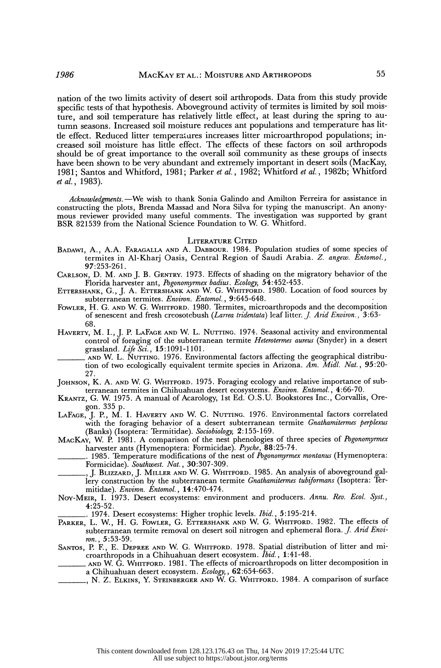nation of the two limits activity of desert soil arthropods. Data from this study provide specific tests of that hypothesis. Aboveground activity of termites is limited by soil mois ture, and soil temperature has relatively little effect, at least during the spring to au tumn seasons. Increased soil moisture reduces ant populations and temperature has lit tle effect. Reduced litter temperatures increases litter microarthropod populations; in creased soil moisture has little effect. The effects of these factors on soil arthropods should be of great importance to the overall soil community as these groups of insects have been shown to be very abundant and extremely important in desert soils (MacKay, 1981; Santos and Whitford, 1981; Parker et al., 1982; Whitford et al., 1982b; Whitford et al., 1983).

Acknowledgments. - We wish to thank Sonia Galindo and Amilton Ferreira for assistance in constructing the plots, Brenda Massad and Nora Silva for typing the manuscript. An anony mous reviewer provided many useful comments. The investigation was supported by grant BSR 821539 from the National Science Foundation to W. G. Whitford.

# LITERATURE CITED

- BADAWI, A., A.A. FARAGALLA AND A. DABBOUR. 1984. Population studies of some species of termites in Al-Kharj Oasis, Central Region of Saudi Arabia. Z. angew. Entomol., 97:253-261.
- CARLSON, D. M. AND J. B. GENTRY. 1973. Effects of shading on the migratory behavior of the Florida harvester ant, Pogonomyrmex badius. Ecology, 54:452-453.
- ETTERSHANK, G., J. A. ETTERSHANK AND W. G. WHITFORD. 1980. Location of food sources by subterranean termites. Environ. Entomol., 9:645-648.
- FOWLER, H. G. AND W. G. WHITFORD. 1980. Termites, microarthropods and the decomposition of senescent and fresh creosotebush (*Larrea tridentata*) leaf litter. *J. And Environ.*, 3:63-68.
- HAVERTY, M. I., J. P. LAFAGE AND W. L. NUTTING. 1974. Seasonal activity and environmental control of foraging of the subterranean termite Heterotermes aureus (Snyder) in a desert grassland. Life Sci., 15:1091-1101.
	- AND W. L. NUTTING. 1976. Environmental factors affecting the geographical distribu tion of two ecologically equivalent termite species in Arizona. Am. Midl. Nat., 95:20-27.
- JOHNSON, K. A. AND W. G. WHITFORD. 1975. Foraging ecology and relative importance of subterranean termites in Chihuahuan desert ecosystems. Environ. Entomol., 4:66-70.
- KRANTZ, G. W. 1975. A manual of Acarology, 1st Ed. O.S.U. Bookstores Inc., Corvallis, Oregon. 335 p.
- LAFAGE, J. P., M. I. HAVERTY AND W. C. NUTTING. 1976. Environmental factors correlated with the foraging behavior of a desert subterranean termite *Gnathamitermes perplexus* (Banks) (Isoptera: Termitidae). Sociobiology, 2:155-169.
- MACKAY, W. P. 1981. A comparison of the nest phenologies of three species of *Pogonomyrmex* harvester ants (Hymenoptera: Formicidae). Psyche, 88:25-74.

. 1985. Temperature modifications of the nest of *Pogonomyrmex montanus* (Hymenoptera: Formicidae). Southwest. Nat., 30:307-309.

- , J. BLIZZARD, J. MILLER AND W. G. WHITFORD. 1985. An analysis of aboveground gal lery construction by the subterranean termite Gnathamitermes tubiformans (Isoptera: Termitidae). Environ. Entomol., 14:470-474.
- Noy-MEIR, I. 1973. Desert ecosystems: environment and producers. Annu. Rev. Ecol. Syst., 4:25-52.

. 1974. Desert ecosystems: Higher trophic levels. Ibid., 5:195-214.

- PARKER, L. W., H. G. FOWLER, G. ETTERSHANK AND W. G. WHITFORD. 1982. The effects of subterranean termite removal on desert soil nitrogen and ephemeral flora. J. Arid Envi-
- ron., 5:53-59. SANTOS, P. F., E. DEPREE AND W. G. WHITFORD. 1978. Spatial distribution of litter and mi croarthropods in a Chihuahuan desert ecosystem. Ibid., 1:41-48.
	- AND W. G. WHITFORD. 1981. The effects of microarthropods on litter decomposition in a Chihuahuan desert ecosystem. *Ecology*, , **62**:654-663.
- , N. Z. ELKINS, Y. STEINBERGER AND W. G. WHITFORD. 1984. A comparison of surface